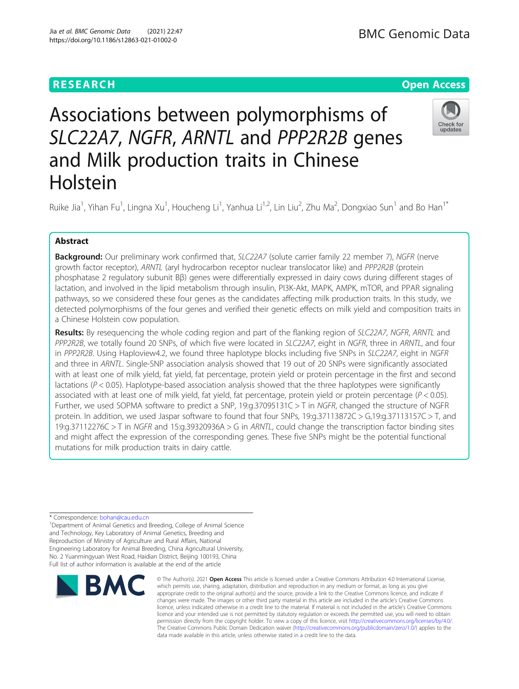Holstein

## **RESEARCH CHE Open Access**

# Associations between polymorphisms of SLC22A7, NGFR, ARNTL and PPP2R2B genes and Milk production traits in Chinese



Ruike Jia<sup>1</sup>, Yihan Fu<sup>1</sup>, Lingna Xu<sup>1</sup>, Houcheng Li<sup>1</sup>, Yanhua Li<sup>1,2</sup>, Lin Liu<sup>2</sup>, Zhu Ma<sup>2</sup>, Dongxiao Sun<sup>1</sup> and Bo Han<sup>1\*</sup>

### Abstract

Background: Our preliminary work confirmed that, SLC22A7 (solute carrier family 22 member 7), NGFR (nerve growth factor receptor), ARNTL (aryl hydrocarbon receptor nuclear translocator like) and PPP2R2B (protein phosphatase 2 regulatory subunit Bβ) genes were differentially expressed in dairy cows during different stages of lactation, and involved in the lipid metabolism through insulin, PI3K-Akt, MAPK, AMPK, mTOR, and PPAR signaling pathways, so we considered these four genes as the candidates affecting milk production traits. In this study, we detected polymorphisms of the four genes and verified their genetic effects on milk yield and composition traits in a Chinese Holstein cow population.

Results: By resequencing the whole coding region and part of the flanking region of SLC22A7, NGFR, ARNTL and PPP2R2B, we totally found 20 SNPs, of which five were located in SLC22A7, eight in NGFR, three in ARNTL, and four in PPP2R2B. Using Haploview4.2, we found three haplotype blocks including five SNPs in SLC22A7, eight in NGFR and three in ARNTL. Single-SNP association analysis showed that 19 out of 20 SNPs were significantly associated with at least one of milk yield, fat yield, fat percentage, protein yield or protein percentage in the first and second lactations ( $P < 0.05$ ). Haplotype-based association analysis showed that the three haplotypes were significantly associated with at least one of milk yield, fat yield, fat percentage, protein yield or protein percentage ( $P < 0.05$ ). Further, we used SOPMA software to predict a SNP, 19:g.37095131C > T in NGFR, changed the structure of NGFR protein. In addition, we used Jaspar software to found that four SNPs, 19:g.37113872C > G,19:g.37113157C > T, and 19:g.37112276C > T in NGFR and 15:g.39320936A > G in ARNTL, could change the transcription factor binding sites and might affect the expression of the corresponding genes. These five SNPs might be the potential functional mutations for milk production traits in dairy cattle.

\* Correspondence: [bohan@cau.edu.cn](mailto:bohan@cau.edu.cn) <sup>1</sup>

<sup>1</sup>Department of Animal Genetics and Breeding, College of Animal Science and Technology, Key Laboratory of Animal Genetics, Breeding and Reproduction of Ministry of Agriculture and Rural Affairs, National Engineering Laboratory for Animal Breeding, China Agricultural University, No. 2 Yuanmingyuan West Road, Haidian District, Beijing 100193, China Full list of author information is available at the end of the article



© The Author(s), 2021 **Open Access** This article is licensed under a Creative Commons Attribution 4.0 International License, which permits use, sharing, adaptation, distribution and reproduction in any medium or format, as long as you give appropriate credit to the original author(s) and the source, provide a link to the Creative Commons licence, and indicate if changes were made. The images or other third party material in this article are included in the article's Creative Commons licence, unless indicated otherwise in a credit line to the material. If material is not included in the article's Creative Commons licence and your intended use is not permitted by statutory regulation or exceeds the permitted use, you will need to obtain permission directly from the copyright holder. To view a copy of this licence, visit [http://creativecommons.org/licenses/by/4.0/.](http://creativecommons.org/licenses/by/4.0/) The Creative Commons Public Domain Dedication waiver [\(http://creativecommons.org/publicdomain/zero/1.0/](http://creativecommons.org/publicdomain/zero/1.0/)) applies to the data made available in this article, unless otherwise stated in a credit line to the data.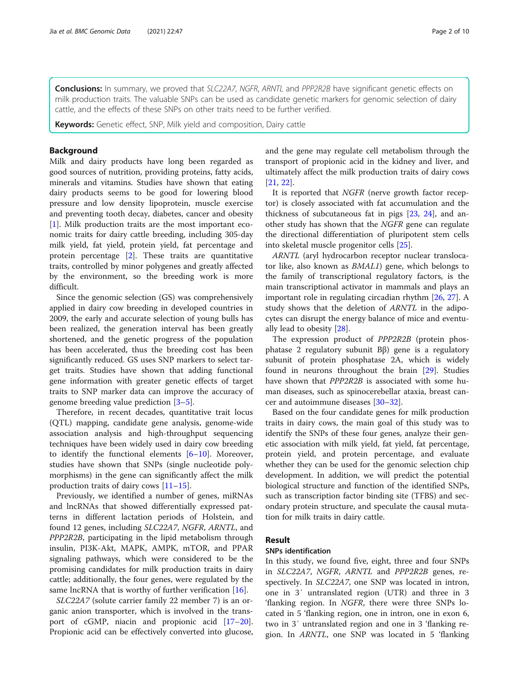Conclusions: In summary, we proved that SLC22A7, NGFR, ARNTL and PPP2R2B have significant genetic effects on milk production traits. The valuable SNPs can be used as candidate genetic markers for genomic selection of dairy cattle, and the effects of these SNPs on other traits need to be further verified.

Keywords: Genetic effect, SNP, Milk yield and composition, Dairy cattle

#### Background

Milk and dairy products have long been regarded as good sources of nutrition, providing proteins, fatty acids, minerals and vitamins. Studies have shown that eating dairy products seems to be good for lowering blood pressure and low density lipoprotein, muscle exercise and preventing tooth decay, diabetes, cancer and obesity [[1\]](#page-8-0). Milk production traits are the most important economic traits for dairy cattle breeding, including 305-day milk yield, fat yield, protein yield, fat percentage and protein percentage [\[2](#page-8-0)]. These traits are quantitative traits, controlled by minor polygenes and greatly affected by the environment, so the breeding work is more difficult.

Since the genomic selection (GS) was comprehensively applied in dairy cow breeding in developed countries in 2009, the early and accurate selection of young bulls has been realized, the generation interval has been greatly shortened, and the genetic progress of the population has been accelerated, thus the breeding cost has been significantly reduced. GS uses SNP markers to select target traits. Studies have shown that adding functional gene information with greater genetic effects of target traits to SNP marker data can improve the accuracy of genome breeding value prediction [\[3](#page-8-0)–[5\]](#page-8-0).

Therefore, in recent decades, quantitative trait locus (QTL) mapping, candidate gene analysis, genome-wide association analysis and high-throughput sequencing techniques have been widely used in dairy cow breeding to identify the functional elements [[6](#page-8-0)–[10\]](#page-8-0). Moreover, studies have shown that SNPs (single nucleotide polymorphisms) in the gene can significantly affect the milk production traits of dairy cows [[11](#page-8-0)–[15](#page-9-0)].

Previously, we identified a number of genes, miRNAs and lncRNAs that showed differentially expressed patterns in different lactation periods of Holstein, and found 12 genes, including SLC22A7, NGFR, ARNTL, and PPP2R2B, participating in the lipid metabolism through insulin, PI3K-Akt, MAPK, AMPK, mTOR, and PPAR signaling pathways, which were considered to be the promising candidates for milk production traits in dairy cattle; additionally, the four genes, were regulated by the same lncRNA that is worthy of further verification [[16\]](#page-9-0).

SLC22A7 (solute carrier family 22 member 7) is an organic anion transporter, which is involved in the transport of cGMP, niacin and propionic acid [[17](#page-9-0)–[20](#page-9-0)]. Propionic acid can be effectively converted into glucose, and the gene may regulate cell metabolism through the transport of propionic acid in the kidney and liver, and ultimately affect the milk production traits of dairy cows [[21,](#page-9-0) [22\]](#page-9-0).

It is reported that NGFR (nerve growth factor receptor) is closely associated with fat accumulation and the thickness of subcutaneous fat in pigs  $[23, 24]$  $[23, 24]$  $[23, 24]$  $[23, 24]$  $[23, 24]$ , and another study has shown that the NGFR gene can regulate the directional differentiation of pluripotent stem cells into skeletal muscle progenitor cells [\[25](#page-9-0)].

ARNTL (aryl hydrocarbon receptor nuclear translocator like, also known as BMAL1) gene, which belongs to the family of transcriptional regulatory factors, is the main transcriptional activator in mammals and plays an important role in regulating circadian rhythm [[26](#page-9-0), [27](#page-9-0)]. A study shows that the deletion of ARNTL in the adipocytes can disrupt the energy balance of mice and eventually lead to obesity [[28\]](#page-9-0).

The expression product of PPP2R2B (protein phosphatase 2 regulatory subunit Bβ) gene is a regulatory subunit of protein phosphatase 2A, which is widely found in neurons throughout the brain [\[29\]](#page-9-0). Studies have shown that PPP2R2B is associated with some human diseases, such as spinocerebellar ataxia, breast cancer and autoimmune diseases [[30](#page-9-0)–[32](#page-9-0)].

Based on the four candidate genes for milk production traits in dairy cows, the main goal of this study was to identify the SNPs of these four genes, analyze their genetic association with milk yield, fat yield, fat percentage, protein yield, and protein percentage, and evaluate whether they can be used for the genomic selection chip development. In addition, we will predict the potential biological structure and function of the identified SNPs, such as transcription factor binding site (TFBS) and secondary protein structure, and speculate the causal mutation for milk traits in dairy cattle.

#### Result

#### SNPs identification

In this study, we found five, eight, three and four SNPs in SLC22A7, NGFR, ARNTL and PPP2R2B genes, respectively. In SLC22A7, one SNP was located in intron, one in 3′ untranslated region (UTR) and three in 3 'flanking region. In NGFR, there were three SNPs located in 5 'flanking region, one in intron, one in exon 6, two in 3′ untranslated region and one in 3 'flanking region. In ARNTL, one SNP was located in 5 'flanking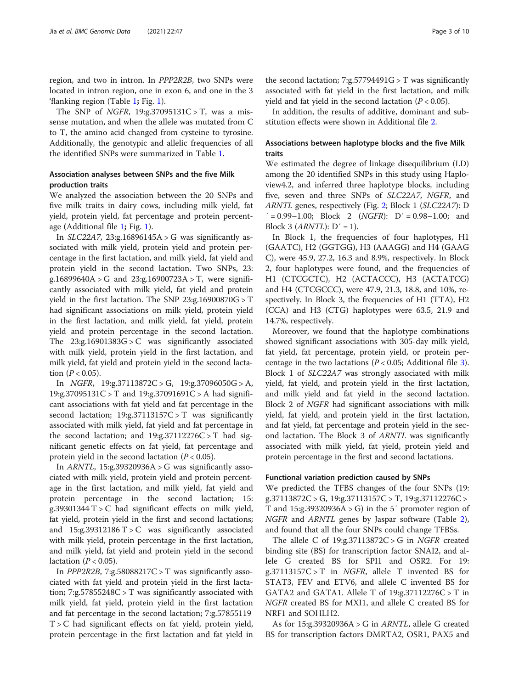region, and two in intron. In PPP2R2B, two SNPs were located in intron region, one in exon 6, and one in the 3 'flanking region (Table [1](#page-3-0); Fig. [1\)](#page-4-0).

The SNP of *NGFR*,  $19:g.37095131C > T$ , was a missense mutation, and when the allele was mutated from C to T, the amino acid changed from cysteine to tyrosine. Additionally, the genotypic and allelic frequencies of all the identified SNPs were summarized in Table [1.](#page-3-0)

#### Association analyses between SNPs and the five Milk production traits

We analyzed the association between the 20 SNPs and five milk traits in dairy cows, including milk yield, fat yield, protein yield, fat percentage and protein percentage (Additional file [1](#page-8-0); Fig. [1](#page-4-0)).

In SLC22A7, 23:g.16896145A > G was significantly associated with milk yield, protein yield and protein percentage in the first lactation, and milk yield, fat yield and protein yield in the second lactation. Two SNPs, 23: g.16899640A > G and 23:g.16900723A > T, were significantly associated with milk yield, fat yield and protein yield in the first lactation. The SNP 23:g.16900870G > T had significant associations on milk yield, protein yield in the first lactation, and milk yield, fat yield, protein yield and protein percentage in the second lactation. The  $23:g.16901383G > C$  was significantly associated with milk yield, protein yield in the first lactation, and milk yield, fat yield and protein yield in the second lactation ( $P < 0.05$ ).

In  $NGFR$ ,  $19:g.37113872C > G$ ,  $19:g.37096050G > A$ , 19:g.37095131C > T and 19:g.37091691C > A had significant associations with fat yield and fat percentage in the second lactation;  $19:g.37113157C > T$  was significantly associated with milk yield, fat yield and fat percentage in the second lactation; and  $19:g.37112276C > T$  had significant genetic effects on fat yield, fat percentage and protein yield in the second lactation  $(P < 0.05)$ .

In  $ARNTL$ , 15:g.39320936A > G was significantly associated with milk yield, protein yield and protein percentage in the first lactation, and milk yield, fat yield and protein percentage in the second lactation; 15: g.39301344  $T > C$  had significant effects on milk yield, fat yield, protein yield in the first and second lactations; and 15:g.39312186  $T > C$  was significantly associated with milk yield, protein percentage in the first lactation, and milk yield, fat yield and protein yield in the second lactation  $(P < 0.05)$ .

In PPP2R2B, 7:g.58088217C > T was significantly associated with fat yield and protein yield in the first lactation; 7:g.57855248C > T was significantly associated with milk yield, fat yield, protein yield in the first lactation and fat percentage in the second lactation; 7:g.57855119  $T > C$  had significant effects on fat yield, protein yield, protein percentage in the first lactation and fat yield in

the second lactation; 7:g.57794491 $G > T$  was significantly associated with fat yield in the first lactation, and milk yield and fat yield in the second lactation  $(P < 0.05)$ .

In addition, the results of additive, dominant and substitution effects were shown in Additional file [2.](#page-8-0)

#### Associations between haplotype blocks and the five Milk traits

We estimated the degree of linkage disequilibrium (LD) among the 20 identified SNPs in this study using Haploview4.2, and inferred three haplotype blocks, including five, seven and three SNPs of SLC22A7, NGFR, and ARNTL genes, respectively (Fig. [2;](#page-5-0) Block 1 (SLC22A7): D  $' = 0.99 - 1.00$ ; Block 2 (NGFR): D' = 0.98-1.00; and Block 3  $(ARNTL)$ : D' = 1).

In Block 1, the frequencies of four haplotypes, H1 (GAATC), H2 (GGTGG), H3 (AAAGG) and H4 (GAAG C), were 45.9, 27.2, 16.3 and 8.9%, respectively. In Block 2, four haplotypes were found, and the frequencies of H1 (CTCGCTC), H2 (ACTACCC), H3 (ACTATCG) and H4 (CTCGCCC), were 47.9, 21.3, 18.8, and 10%, respectively. In Block 3, the frequencies of H1 (TTA), H2 (CCA) and H3 (CTG) haplotypes were 63.5, 21.9 and 14.7%, respectively.

Moreover, we found that the haplotype combinations showed significant associations with 305-day milk yield, fat yield, fat percentage, protein yield, or protein percentage in the two lactations ( $P < 0.05$ ; Additional file [3](#page-8-0)). Block 1 of SLC22A7 was strongly associated with milk yield, fat yield, and protein yield in the first lactation, and milk yield and fat yield in the second lactation. Block 2 of NGFR had significant associations with milk yield, fat yield, and protein yield in the first lactation, and fat yield, fat percentage and protein yield in the second lactation. The Block 3 of ARNTL was significantly associated with milk yield, fat yield, protein yield and protein percentage in the first and second lactations.

#### Functional variation prediction caused by SNPs

We predicted the TFBS changes of the four SNPs (19: g.37113872C > G, 19:g.37113157C > T, 19:g.37112276C > T and  $15:g.39320936A > G$  in the 5' promoter region of NGFR and ARNTL genes by Jaspar software (Table [2](#page-5-0)), and found that all the four SNPs could change TFBSs.

The allele C of  $19:g.37113872C > G$  in NGFR created binding site (BS) for transcription factor SNAI2, and allele G created BS for SPI1 and OSR2. For 19: g.37113157 $C > T$  in *NGFR*, allele T invented BS for STAT3, FEV and ETV6, and allele C invented BS for GATA2 and GATA1. Allele T of 19:g.37112276C > T in NGFR created BS for MXI1, and allele C created BS for NRF1 and SOHLH2.

As for 15:g.39320936A > G in  $ARNTL$ , allele G created BS for transcription factors DMRTA2, OSR1, PAX5 and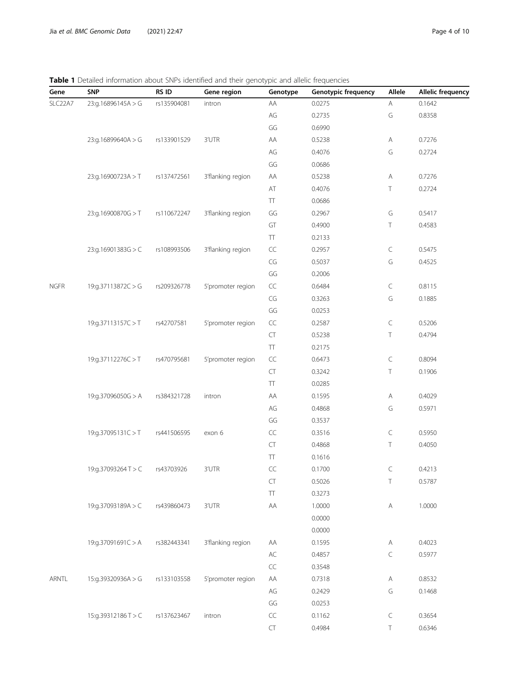<span id="page-3-0"></span>Table 1 Detailed information about SNPs identified and their genotypic and allelic frequencies

| Gene        | <b>SNP</b>         | RS ID       | Gene region       | Genotype                  | Genotypic frequency | Allele                                                                                                 | Allelic frequency |
|-------------|--------------------|-------------|-------------------|---------------------------|---------------------|--------------------------------------------------------------------------------------------------------|-------------------|
| SLC22A7     | 23:g.16896145A > G | rs135904081 | intron            | AA                        | 0.0275              | $\mathsf{A}% _{\mathsf{A}}^{\prime}=\mathsf{A}_{\mathsf{A}}^{\prime}=\mathsf{A}_{\mathsf{A}}^{\prime}$ | 0.1642            |
|             |                    |             |                   | AG                        | 0.2735              | $\mathsf G$                                                                                            | 0.8358            |
|             |                    |             |                   | GG                        | 0.6990              |                                                                                                        |                   |
|             | 23:g.16899640A > G | rs133901529 | 3'UTR             | AA                        | 0.5238              | Α                                                                                                      | 0.7276            |
|             |                    |             |                   | AG                        | 0.4076              | G                                                                                                      | 0.2724            |
|             |                    |             |                   | GG                        | 0.0686              |                                                                                                        |                   |
|             | 23:g.16900723A > T | rs137472561 | 3'flanking region | AA                        | 0.5238              | А                                                                                                      | 0.7276            |
|             |                    |             |                   | $\mathsf{AT}$             | 0.4076              | Τ                                                                                                      | 0.2724            |
|             |                    |             |                   | TT                        | 0.0686              |                                                                                                        |                   |
|             | 23:g.16900870G > T | rs110672247 | 3'flanking region | GG                        | 0.2967              | G                                                                                                      | 0.5417            |
|             |                    |             |                   | GT                        | 0.4900              | Τ                                                                                                      | 0.4583            |
|             |                    |             |                   | TT                        | 0.2133              |                                                                                                        |                   |
|             | 23:g.16901383G > C | rs108993506 | 3'flanking region | $\sf CC$                  | 0.2957              | C                                                                                                      | 0.5475            |
|             |                    |             |                   | CG                        | 0.5037              | G                                                                                                      | 0.4525            |
|             |                    |             |                   | GG                        | 0.2006              |                                                                                                        |                   |
| <b>NGFR</b> | 19:g.37113872C > G | rs209326778 | 5'promoter region | $\mathsf{CC}$             | 0.6484              | $\subset$                                                                                              | 0.8115            |
|             |                    |             |                   | $\mathsf{CG}\xspace$      | 0.3263              | G                                                                                                      | 0.1885            |
|             |                    |             |                   | GG                        | 0.0253              |                                                                                                        |                   |
|             | 19:g.37113157C > T | rs42707581  | 5'promoter region | $\mathsf{CC}$             | 0.2587              | $\subset$                                                                                              | 0.5206            |
|             |                    |             |                   | CT                        | 0.5238              | Τ                                                                                                      | 0.4794            |
|             |                    |             |                   | TT                        | 0.2175              |                                                                                                        |                   |
|             | 19:g.37112276C > T | rs470795681 | 5'promoter region | CC                        | 0.6473              | $\subset$                                                                                              | 0.8094            |
|             |                    |             |                   | ${\sf CT}$                | 0.3242              | Τ                                                                                                      | 0.1906            |
|             |                    |             |                   | TT                        | 0.0285              |                                                                                                        |                   |
|             | 19:g.37096050G > A | rs384321728 | intron            | AA                        | 0.1595              | Α                                                                                                      | 0.4029            |
|             |                    |             |                   | AG                        | 0.4868              | G                                                                                                      | 0.5971            |
|             |                    |             |                   | GG                        | 0.3537              |                                                                                                        |                   |
|             | 19:g.37095131C > T | rs441506595 | exon 6            | CC                        | 0.3516              | $\subset$                                                                                              | 0.5950            |
|             |                    |             |                   | ${\sf CT}$                | 0.4868              | Τ                                                                                                      | 0.4050            |
|             |                    |             |                   | TT                        | 0.1616              |                                                                                                        |                   |
|             | 19:g.37093264T > C | rs43703926  | 3'UTR             | $\subset \subset$         | 0.1700              | C                                                                                                      | 0.4213            |
|             |                    |             |                   | CT                        | 0.5026              | Τ                                                                                                      | 0.5787            |
|             |                    |             |                   | $\top\hspace{-0.1cm}\top$ | 0.3273              |                                                                                                        |                   |
|             | 19:g.37093189A > C | rs439860473 | 3'UTR             | AA                        | 1.0000              | $\mathsf{A}$                                                                                           | 1.0000            |
|             |                    |             |                   |                           | 0.0000              |                                                                                                        |                   |
|             |                    |             |                   |                           | 0.0000              |                                                                                                        |                   |
|             | 19:g.37091691C > A | rs382443341 | 3'flanking region | AA                        | 0.1595              | Α                                                                                                      | 0.4023            |
|             |                    |             |                   | $\mathsf{AC}$             | 0.4857              | $\subset$                                                                                              | 0.5977            |
|             |                    |             |                   | $\subset\subset$          | 0.3548              |                                                                                                        |                   |
| ARNTL       | 15:g.39320936A > G | rs133103558 | 5'promoter region | AA                        | 0.7318              | А                                                                                                      | 0.8532            |
|             |                    |             |                   | $AG$                      | 0.2429              | G                                                                                                      | 0.1468            |
|             |                    |             |                   | GG                        | 0.0253              |                                                                                                        |                   |
|             | 15:g.39312186T>C   | rs137623467 | intron            | $\sf CC$                  | 0.1162              | $\subset$                                                                                              | 0.3654            |
|             |                    |             |                   | ${\sf CT}$                | 0.4984              | Τ                                                                                                      | 0.6346            |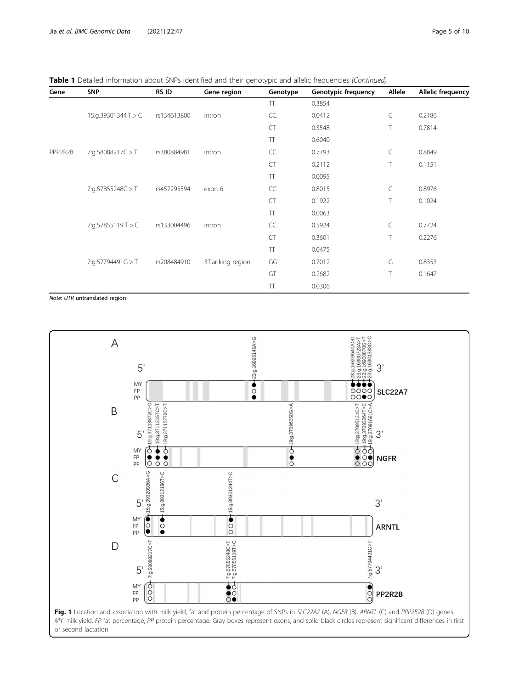<span id="page-4-0"></span>Table 1 Detailed information about SNPs identified and their genotypic and allelic frequencies (Continued)

| Gene    | <b>SNP</b>         | RS ID       | Gene region       | Genotype  | <b>Genotypic frequency</b> | Allele | <b>Allelic frequency</b> |
|---------|--------------------|-------------|-------------------|-----------|----------------------------|--------|--------------------------|
|         |                    |             |                   | TT        | 0.3854                     |        |                          |
|         | 15:g.39301344T > C | rs134613800 | intron            | CC        | 0.0412                     | C      | 0.2186                   |
|         |                    |             |                   | <b>CT</b> | 0.3548                     | Τ      | 0.7814                   |
|         |                    |             |                   | TT        | 0.6040                     |        |                          |
| PPP2R2B | 7:g.58088217C > T  | rs380884981 | intron            | CC        | 0.7793                     | C      | 0.8849                   |
|         |                    |             |                   | <b>CT</b> | 0.2112                     | T      | 0.1151                   |
|         |                    |             |                   | TT        | 0.0095                     |        |                          |
|         | 7:g.57855248C > T  | rs457295594 | exon 6            | CC        | 0.8015                     | C      | 0.8976                   |
|         |                    |             |                   | CT        | 0.1922                     | T      | 0.1024                   |
|         |                    |             |                   | TT        | 0.0063                     |        |                          |
|         | 7:g.57855119T > C  | rs133004496 | intron            | CC        | 0.5924                     | C      | 0.7724                   |
|         |                    |             |                   | <b>CT</b> | 0.3601                     | Τ      | 0.2276                   |
|         |                    |             |                   | TT        | 0.0475                     |        |                          |
|         | 7:g.57794491G > T  | rs208484910 | 3'flanking region | GG        | 0.7012                     | G      | 0.8353                   |
|         |                    |             |                   | GT        | 0.2682                     | T      | 0.1647                   |
|         |                    |             |                   | TT        | 0.0306                     |        |                          |

Note: UTR untranslated region

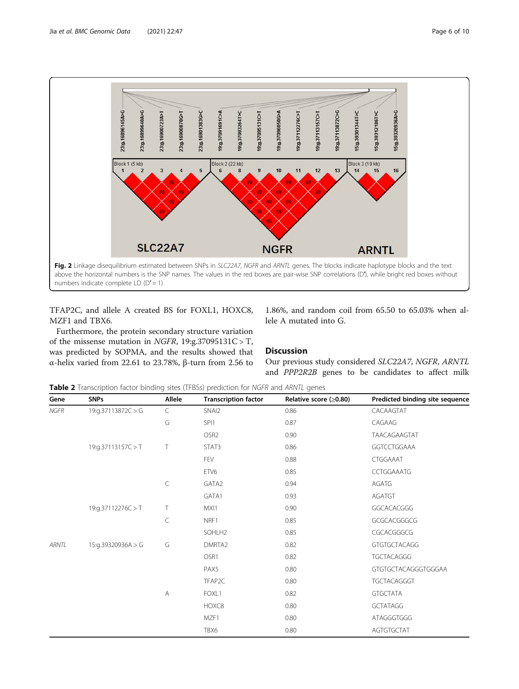<span id="page-5-0"></span>

TFAP2C, and allele A created BS for FOXL1, HOXC8, MZF1 and TBX6.

Furthermore, the protein secondary structure variation of the missense mutation in NGFR,  $19:g.37095131C > T$ , was predicted by SOPMA, and the results showed that α-helix varied from 22.61 to 23.78%, β-turn from 2.56 to 1.86%, and random coil from 65.50 to 65.03% when allele A mutated into G.

#### **Discussion**

Our previous study considered SLC22A7, NGFR, ARNTL and PPP2R2B genes to be candidates to affect milk

Table 2 Transcription factor binding sites (TFBSs) prediction for NGFR and ARNTL genes

| Gene        | <b>SNPs</b>        | Allele         | <b>Transcription factor</b> | Relative score (≥0.80) | Predicted binding site sequence |
|-------------|--------------------|----------------|-----------------------------|------------------------|---------------------------------|
| <b>NGFR</b> | 19:g.37113872C > G | C              | SNAI2                       | 0.86                   | CACAAGTAT                       |
|             |                    | G              | SPI1                        | 0.87                   | CAGAAG                          |
|             |                    |                | OSR <sub>2</sub>            | 0.90                   | TAACAGAAGTAT                    |
|             | 19:g.37113157C > T | Τ              | STAT3                       | 0.86                   | GGTCCTGGAAA                     |
|             |                    |                | FEV                         | 0.88                   | CTGGAAAT                        |
|             |                    |                | ETV <sub>6</sub>            | 0.85                   | <b>CCTGGAAATG</b>               |
|             |                    | $\subset$      | GATA <sub>2</sub>           | 0.94                   | AGATG                           |
|             |                    |                | GATA1                       | 0.93                   | <b>AGATGT</b>                   |
|             | 19:g.37112276C > T | Τ              | MXI1                        | 0.90                   | GGCACACGGG                      |
|             |                    | $\subset$      | NRF1                        | 0.85                   | GCGCACGGGCG                     |
|             |                    |                | SOHLH <sub>2</sub>          | 0.85                   | CGCACGGGCG                      |
| ARNTL       | 15:g.39320936A > G | G              | DMRTA <sub>2</sub>          | 0.82                   | <b>GTGTGCTACAGG</b>             |
|             |                    |                | OSR1                        | 0.82                   | <b>TGCTACAGGG</b>               |
|             |                    |                | PAX5                        | 0.80                   | GTGTGCTACAGGGTGGGAA             |
|             |                    |                | TFAP2C                      | 0.80                   | TGCTACAGGGT                     |
|             |                    | $\overline{A}$ | FOXL1                       | 0.82                   | <b>GTGCTATA</b>                 |
|             |                    |                | HOXC8                       | 0.80                   | <b>GCTATAGG</b>                 |
|             |                    |                | MZF1                        | 0.80                   | ATAGGGTGGG                      |
|             |                    |                | TBX6                        | 0.80                   | AGTGTGCTAT                      |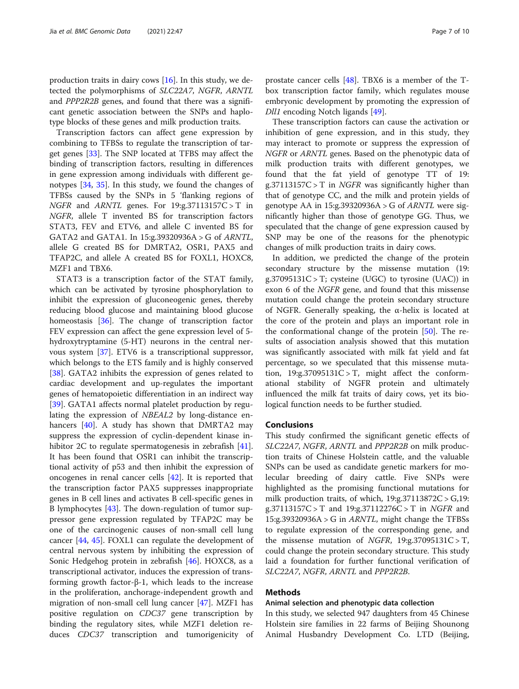production traits in dairy cows [[16\]](#page-9-0). In this study, we detected the polymorphisms of SLC22A7, NGFR, ARNTL and PPP2R2B genes, and found that there was a significant genetic association between the SNPs and haplotype blocks of these genes and milk production traits.

Transcription factors can affect gene expression by combining to TFBSs to regulate the transcription of target genes [[33\]](#page-9-0). The SNP located at TFBS may affect the binding of transcription factors, resulting in differences in gene expression among individuals with different genotypes [[34,](#page-9-0) [35](#page-9-0)]. In this study, we found the changes of TFBSs caused by the SNPs in 5 'flanking regions of NGFR and ARNTL genes. For 19:g.37113157C > T in NGFR, allele T invented BS for transcription factors STAT3, FEV and ETV6, and allele C invented BS for GATA2 and GATA1. In 15:g.39320936A > G of ARNTL, allele G created BS for DMRTA2, OSR1, PAX5 and TFAP2C, and allele A created BS for FOXL1, HOXC8, MZF1 and TBX6.

STAT3 is a transcription factor of the STAT family, which can be activated by tyrosine phosphorylation to inhibit the expression of gluconeogenic genes, thereby reducing blood glucose and maintaining blood glucose homeostasis [[36](#page-9-0)]. The change of transcription factor FEV expression can affect the gene expression level of 5 hydroxytryptamine (5-HT) neurons in the central nervous system [[37](#page-9-0)]. ETV6 is a transcriptional suppressor, which belongs to the ETS family and is highly conserved [[38\]](#page-9-0). GATA2 inhibits the expression of genes related to cardiac development and up-regulates the important genes of hematopoietic differentiation in an indirect way [[39\]](#page-9-0). GATA1 affects normal platelet production by regulating the expression of NBEAL2 by long-distance en-hancers [\[40](#page-9-0)]. A study has shown that DMRTA2 may suppress the expression of cyclin-dependent kinase inhibitor 2C to regulate spermatogenesis in zebrafish [\[41](#page-9-0)]. It has been found that OSR1 can inhibit the transcriptional activity of p53 and then inhibit the expression of oncogenes in renal cancer cells [[42](#page-9-0)]. It is reported that the transcription factor PAX5 suppresses inappropriate genes in B cell lines and activates B cell-specific genes in B lymphocytes [\[43](#page-9-0)]. The down-regulation of tumor suppressor gene expression regulated by TFAP2C may be one of the carcinogenic causes of non-small cell lung cancer [[44,](#page-9-0) [45](#page-9-0)]. FOXL1 can regulate the development of central nervous system by inhibiting the expression of Sonic Hedgehog protein in zebrafish [\[46\]](#page-9-0). HOXC8, as a transcriptional activator, induces the expression of transforming growth factor-β-1, which leads to the increase in the proliferation, anchorage-independent growth and migration of non-small cell lung cancer [\[47](#page-9-0)]. MZF1 has positive regulation on CDC37 gene transcription by binding the regulatory sites, while MZF1 deletion reduces CDC37 transcription and tumorigenicity of

prostate cancer cells [[48\]](#page-9-0). TBX6 is a member of the Tbox transcription factor family, which regulates mouse embryonic development by promoting the expression of Dll1 encoding Notch ligands [\[49](#page-9-0)].

These transcription factors can cause the activation or inhibition of gene expression, and in this study, they may interact to promote or suppress the expression of NGFR or ARNTL genes. Based on the phenotypic data of milk production traits with different genotypes, we found that the fat yield of genotype TT of 19:  $g.37113157C > T$  in *NGFR* was significantly higher than that of genotype CC, and the milk and protein yields of genotype AA in  $15:g.39320936A > G$  of *ARNTL* were significantly higher than those of genotype GG. Thus, we speculated that the change of gene expression caused by SNP may be one of the reasons for the phenotypic changes of milk production traits in dairy cows.

In addition, we predicted the change of the protein secondary structure by the missense mutation (19:  $g.37095131C > T$ ; cysteine (UGC) to tyrosine (UAC)) in exon 6 of the NGFR gene, and found that this missense mutation could change the protein secondary structure of NGFR. Generally speaking, the α-helix is located at the core of the protein and plays an important role in the conformational change of the protein [\[50](#page-9-0)]. The results of association analysis showed that this mutation was significantly associated with milk fat yield and fat percentage, so we speculated that this missense mutation,  $19:g.37095131C > T$ , might affect the conformational stability of NGFR protein and ultimately influenced the milk fat traits of dairy cows, yet its biological function needs to be further studied.

#### Conclusions

This study confirmed the significant genetic effects of SLC22A7, NGFR, ARNTL and PPP2R2B on milk production traits of Chinese Holstein cattle, and the valuable SNPs can be used as candidate genetic markers for molecular breeding of dairy cattle. Five SNPs were highlighted as the promising functional mutations for milk production traits, of which, 19:g.37113872C > G,19: g.37113157C > T and 19:g.37112276C > T in NGFR and 15:g.39320936A > G in ARNTL, might change the TFBSs to regulate expression of the corresponding gene, and the missense mutation of NGFR,  $19:g.37095131C > T$ , could change the protein secondary structure. This study laid a foundation for further functional verification of SLC22A7, NGFR, ARNTL and PPP2R2B.

#### Methods

#### Animal selection and phenotypic data collection

In this study, we selected 947 daughters from 45 Chinese Holstein sire families in 22 farms of Beijing Shounong Animal Husbandry Development Co. LTD (Beijing,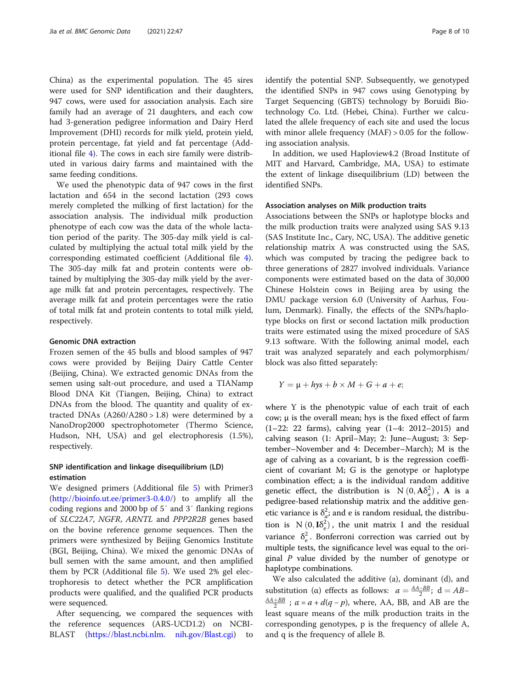China) as the experimental population. The 45 sires were used for SNP identification and their daughters, 947 cows, were used for association analysis. Each sire family had an average of 21 daughters, and each cow had 3-generation pedigree information and Dairy Herd Improvement (DHI) records for milk yield, protein yield, protein percentage, fat yield and fat percentage (Additional file [4\)](#page-8-0). The cows in each sire family were distributed in various dairy farms and maintained with the same feeding conditions.

We used the phenotypic data of 947 cows in the first lactation and 654 in the second lactation (293 cows merely completed the milking of first lactation) for the association analysis. The individual milk production phenotype of each cow was the data of the whole lactation period of the parity. The 305-day milk yield is calculated by multiplying the actual total milk yield by the corresponding estimated coefficient (Additional file [4](#page-8-0)). The 305-day milk fat and protein contents were obtained by multiplying the 305-day milk yield by the average milk fat and protein percentages, respectively. The average milk fat and protein percentages were the ratio of total milk fat and protein contents to total milk yield, respectively.

#### Genomic DNA extraction

Frozen semen of the 45 bulls and blood samples of 947 cows were provided by Beijing Dairy Cattle Center (Beijing, China). We extracted genomic DNAs from the semen using salt-out procedure, and used a TIANamp Blood DNA Kit (Tiangen, Beijing, China) to extract DNAs from the blood. The quantity and quality of extracted DNAs  $(A260/A280 > 1.8)$  were determined by a NanoDrop2000 spectrophotometer (Thermo Science, Hudson, NH, USA) and gel electrophoresis (1.5%), respectively.

#### SNP identification and linkage disequilibrium (LD) estimation

We designed primers (Additional file [5\)](#page-8-0) with Primer3 ([http://bioinfo.ut.ee/primer3-0.4.0/\)](http://bioinfo.ut.ee/primer3-0.4.0/) to amplify all the coding regions and 2000 bp of 5′ and 3′ flanking regions of SLC22A7, NGFR, ARNTL and PPP2R2B genes based on the bovine reference genome sequences. Then the primers were synthesized by Beijing Genomics Institute (BGI, Beijing, China). We mixed the genomic DNAs of bull semen with the same amount, and then amplified them by PCR (Additional file [5](#page-8-0)). We used 2% gel electrophoresis to detect whether the PCR amplification products were qualified, and the qualified PCR products were sequenced.

After sequencing, we compared the sequences with the reference sequences (ARS-UCD1.2) on NCBI-BLAST ([https://blast.ncbi.nlm.](https://blast.ncbi.nlm) [nih.gov/Blast.cgi\)](http://nih.gov/Blast.cgi) to identify the potential SNP. Subsequently, we genotyped the identified SNPs in 947 cows using Genotyping by Target Sequencing (GBTS) technology by Boruidi Biotechnology Co. Ltd. (Hebei, China). Further we calculated the allele frequency of each site and used the locus with minor allele frequency (MAF) > 0.05 for the following association analysis.

In addition, we used Haploview4.2 (Broad Institute of MIT and Harvard, Cambridge, MA, USA) to estimate the extent of linkage disequilibrium (LD) between the identified SNPs.

#### Association analyses on Milk production traits

Associations between the SNPs or haplotype blocks and the milk production traits were analyzed using SAS 9.13 (SAS Institute Inc., Cary, NC, USA). The additive genetic relationship matrix A was constructed using the SAS, which was computed by tracing the pedigree back to three generations of 2827 involved individuals. Variance components were estimated based on the data of 30,000 Chinese Holstein cows in Beijing area by using the DMU package version 6.0 (University of Aarhus, Foulum, Denmark). Finally, the effects of the SNPs/haplotype blocks on first or second lactation milk production traits were estimated using the mixed procedure of SAS 9.13 software. With the following animal model, each trait was analyzed separately and each polymorphism/ block was also fitted separately:

$$
Y = \mu + hys + b \times M + G + a + e;
$$

where Y is the phenotypic value of each trait of each cow; μ is the overall mean; hys is the fixed effect of farm (1–22: 22 farms), calving year (1–4: 2012–2015) and calving season (1: April–May; 2: June–August; 3: September–November and 4: December–March); M is the age of calving as a covariant, b is the regression coefficient of covariant M; G is the genotype or haplotype combination effect; a is the individual random additive genetic effect, the distribution is  $N(0, A\delta_a^2)$ , A is a pedigree-based relationship matrix and the additive genetic variance is  $\delta_a^2$ ; and e is random residual, the distribution is  $N(0, I\delta_e^2)$ , the unit matrix I and the residual variance  $\delta_e^2$ . Bonferroni correction was carried out by multiple tests, the significance level was equal to the original  $P$  value divided by the number of genotype or haplotype combinations.

We also calculated the additive (a), dominant (d), and substitution (α) effects as follows:  $a = \frac{AA - BB}{2}$ ; d = AB- $\frac{AA+BB}{2}$ ;  $\alpha = a + d(q - p)$ , where, AA, BB, and AB are the least square means of the milk production traits in the corresponding genotypes, p is the frequency of allele A, and q is the frequency of allele B.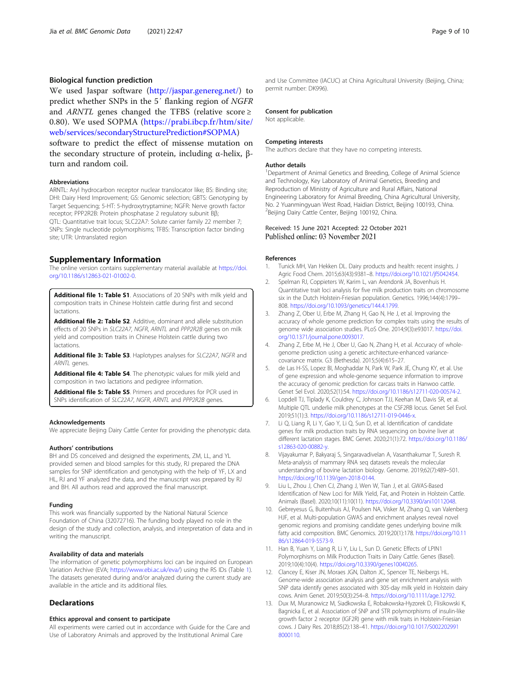#### <span id="page-8-0"></span>Biological function prediction

We used Jaspar software [\(http://jaspar.genereg.net/](http://jaspar.genereg.net/)) to predict whether SNPs in the 5′ flanking region of NGFR and *ARNTL* genes changed the TFBS (relative score  $\geq$ 0.80). We used SOPMA ([https://prabi.ibcp.fr/htm/site/](https://prabi.ibcp.fr/htm/site/web/services/secondaryStructurePrediction#SOPMA) [web/services/secondaryStructurePrediction#SOPMA\)](https://prabi.ibcp.fr/htm/site/web/services/secondaryStructurePrediction#SOPMA)

software to predict the effect of missense mutation on the secondary structure of protein, including α-helix, βturn and random coil.

#### Abbreviations

ARNTL: Aryl hydrocarbon receptor nuclear translocator like; BS: Binding site; DHI: Dairy Herd Improvement; GS: Genomic selection; GBTS: Genotyping by Target Sequencing; 5-HT: 5-hydroxytryptamine; NGFR: Nerve growth factor receptor; PPP2R2B: Protein phosphatase 2 regulatory subunit Bβ; QTL: Quantitative trait locus; SLC22A7: Solute carrier family 22 member 7; SNPs: Single nucleotide polymorphisms; TFBS: Transcription factor binding site; UTR: Untranslated region

#### Supplementary Information

The online version contains supplementary material available at [https://doi.](https://doi.org/10.1186/s12863-021-01002-0) [org/10.1186/s12863-021-01002-0.](https://doi.org/10.1186/s12863-021-01002-0)

Additional file 1: Table S1. Associations of 20 SNPs with milk yield and composition traits in Chinese Holstein cattle during first and second lactations.

Additional file 2: Table S2. Additive, dominant and allele substitution effects of 20 SNPs in SLC22A7, NGFR, ARNTL and PPP2R2B genes on milk yield and composition traits in Chinese Holstein cattle during two lactations.

Additional file 3: Table S3. Haplotypes analyses for SLC22A7, NGFR and ARNTL genes.

Additional file 4: Table S4. The phenotypic values for milk yield and composition in two lactations and pedigree information.

Additional file 5: Table S5. Primers and procedures for PCR used in SNPs identification of SLC22A7, NGFR, ARNTL and PPP2R2B genes.

#### Acknowledgements

We appreciate Beijing Dairy Cattle Center for providing the phenotypic data.

#### Authors' contributions

BH and DS conceived and designed the experiments, ZM, LL, and YL provided semen and blood samples for this study, RJ prepared the DNA samples for SNP identification and genotyping with the help of YF, LX and HL, RJ and YF analyzed the data, and the manuscript was prepared by RJ and BH. All authors read and approved the final manuscript.

#### Funding

This work was financially supported by the National Natural Science Foundation of China (32072716). The funding body played no role in the design of the study and collection, analysis, and interpretation of data and in writing the manuscript.

#### Availability of data and materials

The information of genetic polymorphisms loci can be inquired on European Variation Archive (EVA; [https://www.ebi.ac.uk/eva/\)](https://www.ebi.ac.uk/eva/) using the RS IDs (Table [1](#page-3-0)). The datasets generated during and/or analyzed during the current study are available in the article and its additional files.

#### Declarations

#### Ethics approval and consent to participate

All experiments were carried out in accordance with Guide for the Care and Use of Laboratory Animals and approved by the Institutional Animal Care

and Use Committee (IACUC) at China Agricultural University (Beijing, China; permit number: DK996).

#### Consent for publication

Not applicable.

#### Competing interests

The authors declare that they have no competing interests.

#### Author details

<sup>1</sup>Department of Animal Genetics and Breeding, College of Animal Science and Technology, Key Laboratory of Animal Genetics, Breeding and Reproduction of Ministry of Agriculture and Rural Affairs, National Engineering Laboratory for Animal Breeding, China Agricultural University, No. 2 Yuanmingyuan West Road, Haidian District, Beijing 100193, China. <sup>2</sup>Beijing Dairy Cattle Center, Beijing 100192, China

# Received: 15 June 2021 Accepted: 22 October 2021<br>Published online: 03 November 2021

#### References

- 1. Tunick MH, Van Hekken DL. Dairy products and health: recent insights. J Agric Food Chem. 2015;63(43):9381–8. <https://doi.org/10.1021/jf5042454>.
- 2. Spelman RJ, Coppieters W, Karim L, van Arendonk JA, Bovenhuis H. Quantitative trait loci analysis for five milk production traits on chromosome six in the Dutch Holstein-Friesian population. Genetics. 1996;144(4):1799– 808. <https://doi.org/10.1093/genetics/144.4.1799>.
- 3. Zhang Z, Ober U, Erbe M, Zhang H, Gao N, He J, et al. Improving the accuracy of whole genome prediction for complex traits using the results of genome wide association studies. PLoS One. 2014;9(3):e93017. [https://doi.](https://doi.org/10.1371/journal.pone.0093017) [org/10.1371/journal.pone.0093017.](https://doi.org/10.1371/journal.pone.0093017)
- 4. Zhang Z, Erbe M, He J, Ober U, Gao N, Zhang H, et al. Accuracy of wholegenome prediction using a genetic architecture-enhanced variancecovariance matrix. G3 (Bethesda). 2015;5(4):615–27.
- 5. de Las H-SS, Lopez BI, Moghaddar N, Park W, Park JE, Chung KY, et al. Use of gene expression and whole-genome sequence information to improve the accuracy of genomic prediction for carcass traits in Hanwoo cattle. Genet Sel Evol. 2020;52(1):54. <https://doi.org/10.1186/s12711-020-00574-2>.
- 6. Lopdell TJ, Tiplady K, Couldrey C, Johnson TJJ, Keehan M, Davis SR, et al. Multiple QTL underlie milk phenotypes at the CSF2RB locus. Genet Sel Evol. 2019;51(1):3. <https://doi.org/10.1186/s12711-019-0446-x>.
- 7. Li Q, Liang R, Li Y, Gao Y, Li Q, Sun D, et al. Identification of candidate genes for milk production traits by RNA sequencing on bovine liver at different lactation stages. BMC Genet. 2020;21(1):72. [https://doi.org/10.1186/](https://doi.org/10.1186/s12863-020-00882-y) [s12863-020-00882-y](https://doi.org/10.1186/s12863-020-00882-y).
- 8. Vijayakumar P, Bakyaraj S, Singaravadivelan A, Vasanthakumar T, Suresh R. Meta-analysis of mammary RNA seq datasets reveals the molecular understanding of bovine lactation biology. Genome. 2019;62(7):489–501. <https://doi.org/10.1139/gen-2018-0144>.
- 9. Liu L, Zhou J, Chen CJ, Zhang J, Wen W, Tian J, et al. GWAS-Based Identification of New Loci for Milk Yield, Fat, and Protein in Holstein Cattle. Animals (Basel). 2020;10(11):10(11). [https://doi.org/10.3390/ani10112048.](https://doi.org/10.3390/ani10112048)
- 10. Gebreyesus G, Buitenhuis AJ, Poulsen NA, Visker M, Zhang Q, van Valenberg HJF, et al. Multi-population GWAS and enrichment analyses reveal novel genomic regions and promising candidate genes underlying bovine milk fatty acid composition. BMC Genomics. 2019;20(1):178. [https://doi.org/10.11](https://doi.org/10.1186/s12864-019-5573-9) [86/s12864-019-5573-9](https://doi.org/10.1186/s12864-019-5573-9).
- 11. Han B, Yuan Y, Liang R, Li Y, Liu L, Sun D. Genetic Effects of LPIN1 Polymorphisms on Milk Production Traits in Dairy Cattle. Genes (Basel). 2019;10(4):10(4). [https://doi.org/10.3390/genes10040265.](https://doi.org/10.3390/genes10040265)
- 12. Clancey E, Kiser JN, Moraes JGN, Dalton JC, Spencer TE, Neibergs HL. Genome-wide association analysis and gene set enrichment analysis with SNP data identify genes associated with 305-day milk yield in Holstein dairy cows. Anim Genet. 2019;50(3):254–8. [https://doi.org/10.1111/age.12792.](https://doi.org/10.1111/age.12792)
- 13. Dux M, Muranowicz M, Siadkowska E, Robakowska-Hyzorek D, Flisikowski K, Bagnicka E, et al. Association of SNP and STR polymorphisms of insulin-like growth factor 2 receptor (IGF2R) gene with milk traits in Holstein-Friesian cows. J Dairy Res. 2018;85(2):138–41. [https://doi.org/10.1017/S002202991](https://doi.org/10.1017/S0022029918000110) [8000110.](https://doi.org/10.1017/S0022029918000110)